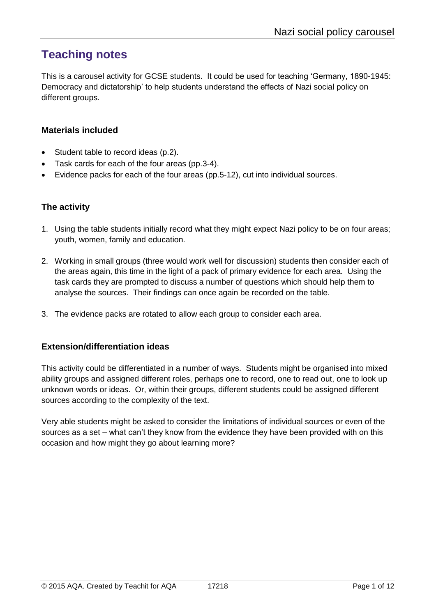# **Teaching notes**

This is a carousel activity for GCSE students. It could be used for teaching 'Germany, 1890-1945: Democracy and dictatorship' to help students understand the effects of Nazi social policy on different groups.

#### **Materials included**

- Student table to record ideas (p.2).
- Task cards for each of the four areas (pp.3-4).
- Evidence packs for each of the four areas (pp.5-12), cut into individual sources.

### **The activity**

- 1. Using the table students initially record what they might expect Nazi policy to be on four areas; youth, women, family and education.
- 2. Working in small groups (three would work well for discussion) students then consider each of the areas again, this time in the light of a pack of primary evidence for each area. Using the task cards they are prompted to discuss a number of questions which should help them to analyse the sources. Their findings can once again be recorded on the table.
- 3. The evidence packs are rotated to allow each group to consider each area.

#### **Extension/differentiation ideas**

This activity could be differentiated in a number of ways. Students might be organised into mixed ability groups and assigned different roles, perhaps one to record, one to read out, one to look up unknown words or ideas. Or, within their groups, different students could be assigned different sources according to the complexity of the text.

Very able students might be asked to consider the limitations of individual sources or even of the sources as a set – what can't they know from the evidence they have been provided with on this occasion and how might they go about learning more?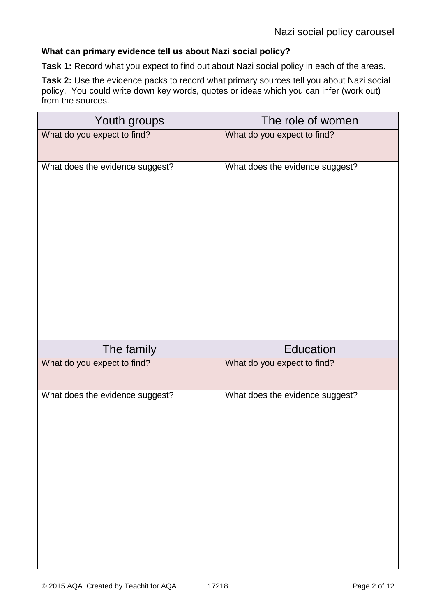#### **What can primary evidence tell us about Nazi social policy?**

**Task 1:** Record what you expect to find out about Nazi social policy in each of the areas.

**Task 2:** Use the evidence packs to record what primary sources tell you about Nazi social policy. You could write down key words, quotes or ideas which you can infer (work out) from the sources.

| Youth groups                    | The role of women               |
|---------------------------------|---------------------------------|
| What do you expect to find?     | What do you expect to find?     |
| What does the evidence suggest? | What does the evidence suggest? |
| The family                      | Education                       |
| What do you expect to find?     | What do you expect to find?     |
| What does the evidence suggest? | What does the evidence suggest? |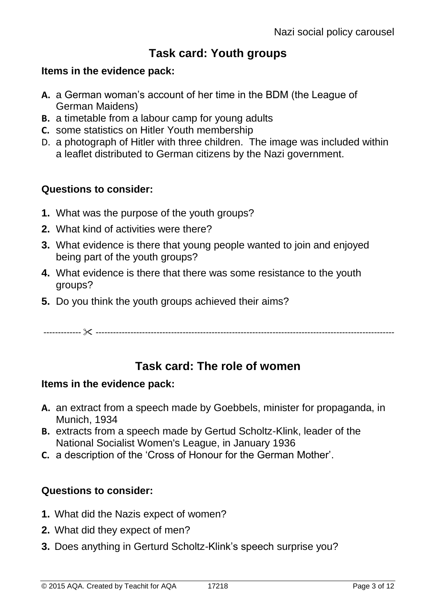# **Task card: Youth groups**

## **Items in the evidence pack:**

- **A.** a German woman's account of her time in the BDM (the League of German Maidens)
- **B.** a timetable from a labour camp for young adults
- **C.** some statistics on Hitler Youth membership
- D. a photograph of Hitler with three children. The image was included within a leaflet distributed to German citizens by the Nazi government.

## **Questions to consider:**

- **1.** What was the purpose of the youth groups?
- **2.** What kind of activities were there?
- **3.** What evidence is there that young people wanted to join and enjoyed being part of the youth groups?
- **4.** What evidence is there that there was some resistance to the youth groups?
- **5.** Do you think the youth groups achieved their aims?

------------- -------------------------------------------------------------------------------------------------------

# **Task card: The role of women**

## **Items in the evidence pack:**

- **A.** an extract from a speech made by Goebbels, minister for propaganda, in Munich, 1934
- **B.** extracts from a speech made by Gertud Scholtz-Klink, leader of the [National Socialist Women's League,](http://en.wikipedia.org/wiki/NS-Frauenschaft) in January 1936
- **C.** a description of the 'Cross of Honour for the German Mother'.

## **Questions to consider:**

- **1.** What did the Nazis expect of women?
- **2.** What did they expect of men?
- **3.** Does anything in Gerturd Scholtz-Klink's speech surprise you?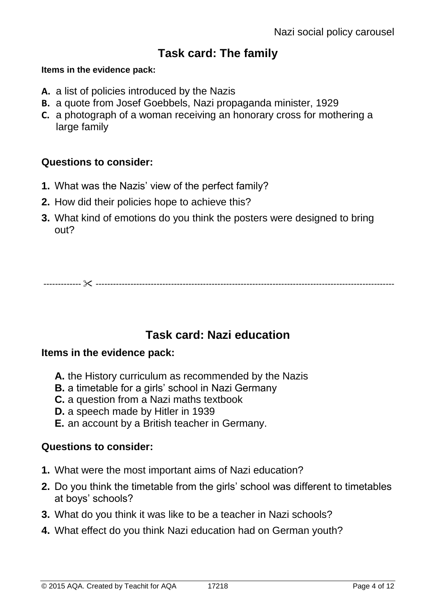# **Task card: The family**

### **Items in the evidence pack:**

- **A.** a list of policies introduced by the Nazis
- **B.** a quote from Josef Goebbels, Nazi propaganda minister, 1929
- **C.** a photograph of a woman receiving an honorary cross for mothering a large family

## **Questions to consider:**

- **1.** What was the Nazis' view of the perfect family?
- **2.** How did their policies hope to achieve this?
- **3.** What kind of emotions do you think the posters were designed to bring out?

------------- -------------------------------------------------------------------------------------------------------

# **Task card: Nazi education**

## **Items in the evidence pack:**

- **A.** the History curriculum as recommended by the Nazis
- **B.** a timetable for a girls' school in Nazi Germany
- **C.** a question from a Nazi maths textbook
- **D.** a speech made by Hitler in 1939
- **E.** an account by a British teacher in Germany.

### **Questions to consider:**

- **1.** What were the most important aims of Nazi education?
- **2.** Do you think the timetable from the girls' school was different to timetables at boys' schools?
- **3.** What do you think it was like to be a teacher in Nazi schools?
- **4.** What effect do you think Nazi education had on German youth?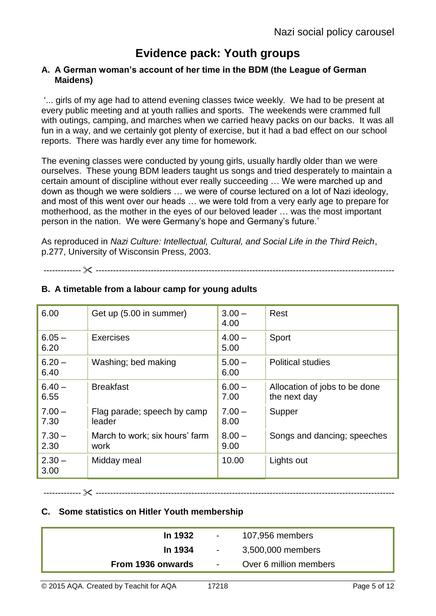# **Evidence pack: Youth groups**

#### **A. A German woman's account of her time in the BDM (the League of German Maidens)**

'... girls of my age had to attend evening classes twice weekly. We had to be present at every public meeting and at youth rallies and sports. The weekends were crammed full with outings, camping, and marches when we carried heavy packs on our backs. It was all fun in a way, and we certainly got plenty of exercise, but it had a bad effect on our school reports. There was hardly ever any time for homework.

The evening classes were conducted by young girls, usually hardly older than we were ourselves. These young BDM leaders taught us songs and tried desperately to maintain a certain amount of discipline without ever really succeeding … We were marched up and down as though we were soldiers … we were of course lectured on a lot of Nazi ideology, and most of this went over our heads … we were told from a very early age to prepare for motherhood, as the mother in the eyes of our beloved leader … was the most important person in the nation. We were Germany's hope and Germany's future.'

As reproduced in *Nazi Culture: Intellectual, Cultural, and Social Life in the Third Reich*, p.277, University of Wisconsin Press, 2003.

------------- -------------------------------------------------------------------------------------------------------

| 6.00             | Get up (5.00 in summer)                | $3.00 -$<br>4.00 | Rest                                          |
|------------------|----------------------------------------|------------------|-----------------------------------------------|
| $6.05 -$<br>6.20 | <b>Exercises</b>                       | $4.00 -$<br>5.00 | Sport                                         |
| $6.20 -$<br>6.40 | Washing; bed making                    | $5.00 -$<br>6.00 | <b>Political studies</b>                      |
| $6.40 -$<br>6.55 | <b>Breakfast</b>                       | $6.00 -$<br>7.00 | Allocation of jobs to be done<br>the next day |
| $7.00 -$<br>7.30 | Flag parade; speech by camp<br>leader  | $7.00 -$<br>8.00 | Supper                                        |
| $7.30 -$<br>2.30 | March to work; six hours' farm<br>work | $8.00 -$<br>9.00 | Songs and dancing; speeches                   |
| $2.30 -$<br>3.00 | Midday meal                            | 10.00            | Lights out                                    |

### **B. A timetable from a labour camp for young adults**

**C. Some statistics on Hitler Youth membership**

| In 1932           | $\sim 100$                          | 107,956 members        |
|-------------------|-------------------------------------|------------------------|
| In 1934           | $\sim 10^{-10}$ and $\sim 10^{-10}$ | 3,500,000 members      |
| From 1936 onwards | $\sim 10^{-10}$ m $^{-1}$           | Over 6 million members |

------------- -------------------------------------------------------------------------------------------------------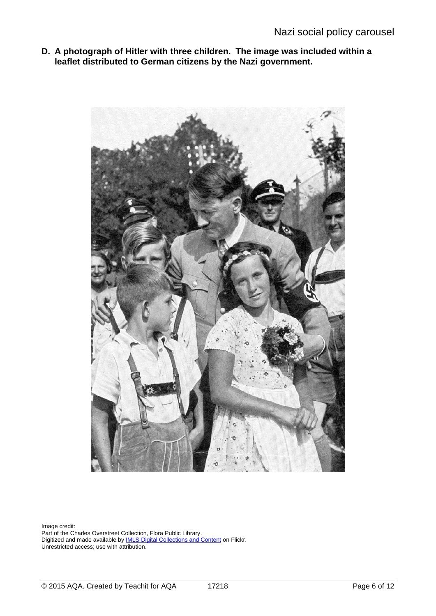**D. A photograph of Hitler with three children. The image was included within a leaflet distributed to German citizens by the Nazi government.**



Image credit: Part of the Charles Overstreet Collection, Flora Public Library. Digitized and made available by **IMLS Digital Collections and Content on Flickr**. Unrestricted access; use with attribution.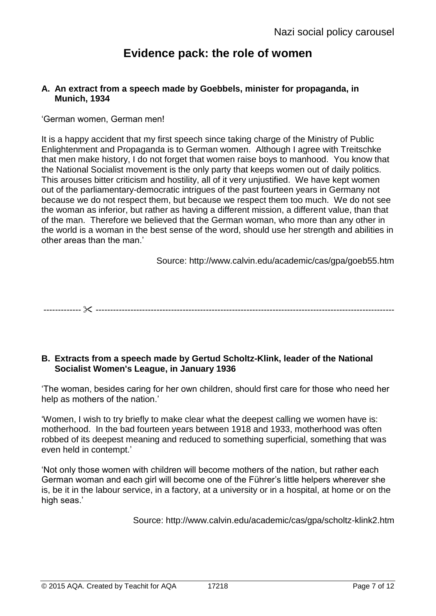# **Evidence pack: the role of women**

#### **A. An extract from a speech made by Goebbels, minister for propaganda, in Munich, 1934**

#### 'German women, German men!

It is a happy accident that my first speech since taking charge of the Ministry of Public Enlightenment and Propaganda is to German women. Although I agree with Treitschke that men make history, I do not forget that women raise boys to manhood. You know that the National Socialist movement is the only party that keeps women out of daily politics. This arouses bitter criticism and hostility, all of it very unjustified. We have kept women out of the parliamentary-democratic intrigues of the past fourteen years in Germany not because we do not respect them, but because we respect them too much. We do not see the woman as inferior, but rather as having a different mission, a different value, than that of the man. Therefore we believed that the German woman, who more than any other in the world is a woman in the best sense of the word, should use her strength and abilities in other areas than the man.'

Source: http://www.calvin.edu/academic/cas/gpa/goeb55.htm

------------- -------------------------------------------------------------------------------------------------------

#### **B. Extracts from a speech made by Gertud Scholtz-Klink, leader of the [National](http://en.wikipedia.org/wiki/NS-Frauenschaft)  [Socialist Women's League,](http://en.wikipedia.org/wiki/NS-Frauenschaft) in January 1936**

'The woman, besides caring for her own children, should first care for those who need her help as mothers of the nation.'

'Women, I wish to try briefly to make clear what the deepest calling we women have is: motherhood. In the bad fourteen years between 1918 and 1933, motherhood was often robbed of its deepest meaning and reduced to something superficial, something that was even held in contempt.'

'Not only those women with children will become mothers of the nation, but rather each German woman and each girl will become one of the Führer's little helpers wherever she is, be it in the labour service, in a factory, at a university or in a hospital, at home or on the high seas.'

Source: http://www.calvin.edu/academic/cas/gpa/scholtz-klink2.htm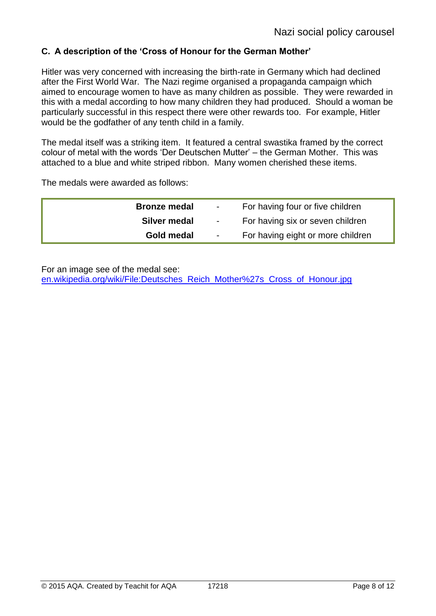### **C. A description of the 'Cross of Honour for the German Mother'**

Hitler was very concerned with increasing the birth-rate in Germany which had declined after the First World War. The Nazi regime organised a propaganda campaign which aimed to encourage women to have as many children as possible. They were rewarded in this with a medal according to how many children they had produced. Should a woman be particularly successful in this respect there were other rewards too. For example, Hitler would be the godfather of any tenth child in a family.

The medal itself was a striking item. It featured a central swastika framed by the correct colour of metal with the words 'Der Deutschen Mutter' – the German Mother. This was attached to a blue and white striped ribbon. Many women cherished these items.

The medals were awarded as follows:

| <b>Bronze medal</b> | $\sim$ 10 $\sim$ | For having four or five children  |
|---------------------|------------------|-----------------------------------|
| Silver medal        | $\sim 100$       | For having six or seven children  |
| Gold medal          | $\sim$           | For having eight or more children |

For an image see of the medal see:

[en.wikipedia.org/wiki/File:Deutsches\\_Reich\\_Mother%27s\\_Cross\\_of\\_Honour.jpg](http://en.wikipedia.org/wiki/File:Deutsches_Reich_Mother%27s_Cross_of_Honour.jpg)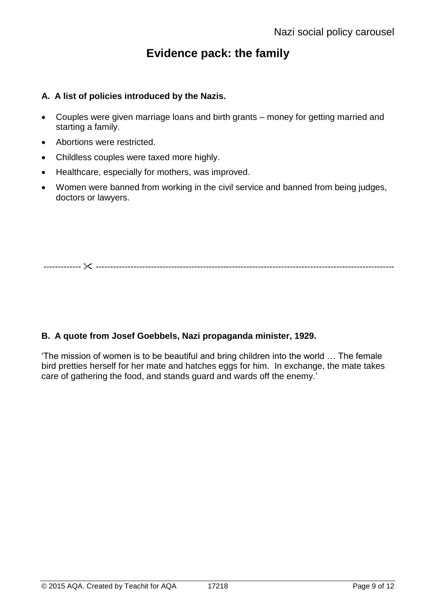# **Evidence pack: the family**

#### **A. A list of policies introduced by the Nazis.**

- Couples were given marriage loans and birth grants money for getting married and starting a family.
- Abortions were restricted.
- Childless couples were taxed more highly.
- Healthcare, especially for mothers, was improved.
- Women were banned from working in the civil service and banned from being judges, doctors or lawyers.

------------- -------------------------------------------------------------------------------------------------------

#### **B. A quote from Josef Goebbels, Nazi propaganda minister, 1929.**

'The mission of women is to be beautiful and bring children into the world … The female bird pretties herself for her mate and hatches eggs for him. In exchange, the mate takes care of gathering the food, and stands guard and wards off the enemy.'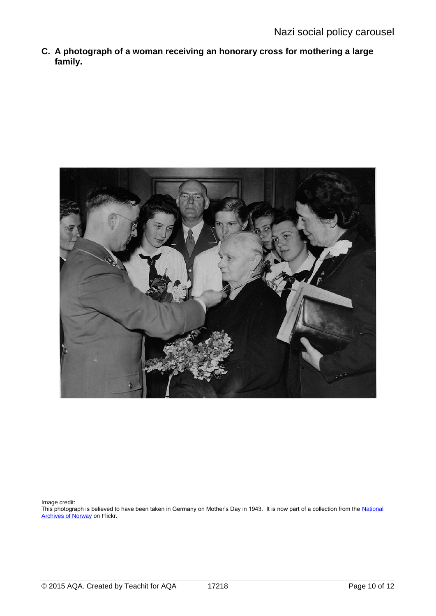**C. A photograph of a woman receiving an honorary cross for mothering a large family.**



Image credit:

This photograph is believed to have been taken in Germany on Mother's Day in 1943. It is now part of a collection from the National **[Archives of Norway](https://flic.kr/p/9nnYHQ) on Flickr.**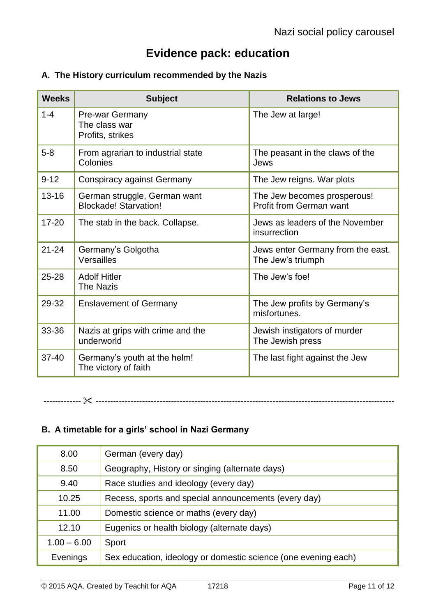# **Evidence pack: education**

### **A. The History curriculum recommended by the Nazis**

| <b>Weeks</b> | <b>Subject</b>                                               | <b>Relations to Jews</b>                               |
|--------------|--------------------------------------------------------------|--------------------------------------------------------|
| $1 - 4$      | Pre-war Germany<br>The class war<br>Profits, strikes         | The Jew at large!                                      |
| $5-8$        | From agrarian to industrial state<br>Colonies                | The peasant in the claws of the<br>Jews                |
| $9 - 12$     | <b>Conspiracy against Germany</b>                            | The Jew reigns. War plots                              |
| $13 - 16$    | German struggle, German want<br><b>Blockade! Starvation!</b> | The Jew becomes prosperous!<br>Profit from German want |
| $17 - 20$    | The stab in the back. Collapse.                              | Jews as leaders of the November<br>insurrection        |
| $21 - 24$    | Germany's Golgotha<br>Versailles                             | Jews enter Germany from the east.<br>The Jew's triumph |
| $25 - 28$    | <b>Adolf Hitler</b><br><b>The Nazis</b>                      | The Jew's foe!                                         |
| 29-32        | <b>Enslavement of Germany</b>                                | The Jew profits by Germany's<br>misfortunes.           |
| 33-36        | Nazis at grips with crime and the<br>underworld              | Jewish instigators of murder<br>The Jewish press       |
| $37 - 40$    | Germany's youth at the helm!<br>The victory of faith         | The last fight against the Jew                         |

------------- -------------------------------------------------------------------------------------------------------

### **B. A timetable for a girls' school in Nazi Germany**

| 8.00          | German (every day)                                             |
|---------------|----------------------------------------------------------------|
| 8.50          | Geography, History or singing (alternate days)                 |
| 9.40          | Race studies and ideology (every day)                          |
| 10.25         | Recess, sports and special announcements (every day)           |
| 11.00         | Domestic science or maths (every day)                          |
| 12.10         | Eugenics or health biology (alternate days)                    |
| $1.00 - 6.00$ | Sport                                                          |
| Evenings      | Sex education, ideology or domestic science (one evening each) |